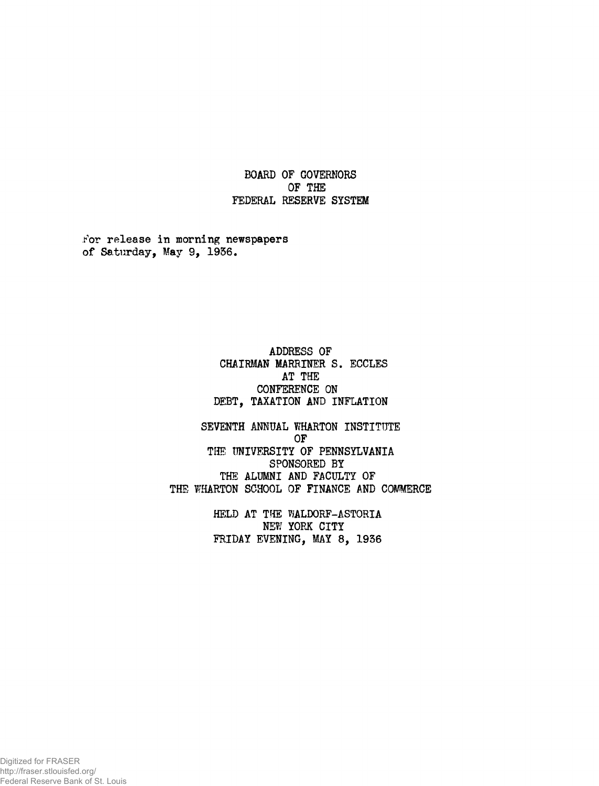**BOARD OF GOVERNORS OF THE FEDERAL RESERVE SYSTEM**

**For release in morning newspapers of Saturday, May 9, 1936.**

> **ADDRESS OF CHAIRMAN MARRINER S. ECCLES AT THE CONFERENCE ON DEBT, TAXATION AND INFLATION**

**SEVENTH ANNUAL WHARTON INSTITUTE OF THE UNIVERSITY OF PENNSYLVANIA SPONSORED BY THE ALUMNI AND FACULTY OF THE WHARTON SCHOOL OF FINANCE AND COMMERCE**

> **HELD AT THE WALDORF-ASTORIA NE?/ YORK CITY FRIDAY EVENING, MAY 8, 1936**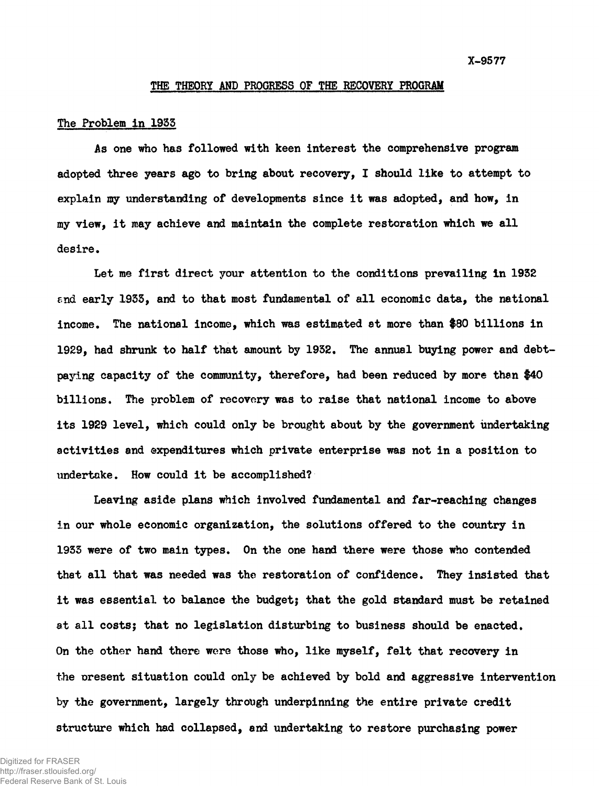### **THE THEORY AND PROGRESS OF THE RECOVERY PROGRAM**

#### **The Problem in 19S5**

**As one who has followed with keen interest the comprehensive program** adopted three years ago to bring about recovery, I should like to attempt to **explain my understanding of developments since it was adopted, and how, in my view, it may achieve and maintain the complete restoration which we all desire.**

**Let me first direct your attention to the conditions prevailing in 1932 end early 1933, and to that most fundamental of all economic data, the national income. The national income, which was estimated at more than #80 billions in 1929, had shrunk to half that amount by 1932. The annual buying power and debtpaying capacity of the community, therefore, had been reduced by more than \$40 billions. The problem of recovery was to raise that national income to above its 1929 level, which could only be brought about by the government undertaking activities and expenditures which private enterprise was not in a position to undertake. How could it be accomplished?**

**Leaving aside plans which involved fundamental and far-reaching changes in our whole economic organization, the solutions offered to the country in 1933 were of two main types. On the one hand there were those who contended that all that was needed was the restoration of confidence. They insisted that it was essential to balance the budget; that the gold standard must be retained at all costsj that no legislation disturbing to business should be enacted. On the other hand there were those who, like myself, felt that recovery in the present situation could only be achieved by bold and aggressive intervention by the government, largely through underpinning the entire private credit structure which had collapsed, and undertaking to restore purchasing power**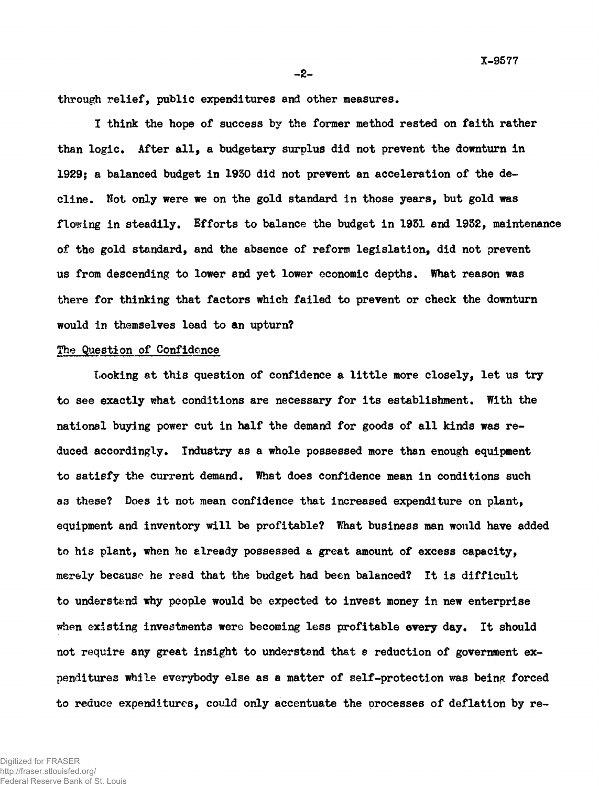**X-9577**

**- 2 -**

**through relief, public expenditures and other measures.**

**I think the hope of success by the former method rested on faith rather than logic. After all, a budgetary surplus did not prevent the downturn in 1929; a balanced budget in 1950 did not prevent an acceleration of the decline. Not only were we on the gold standard in those years, but gold was flooring in steadily. Efforts to balance the budget in 1931 and 1952, maintenance of the gold standard, and the absence of reform legislation, did not prevent us from descending to lower and yet lower economic depths. What reason was there for thinking that factors which failed to prevent or check the downturn would in themselves lead to an upturn?**

## **The Question of Confidence**

**Looking at this question of confidence a little more closely, let us try to see exactly what conditions are necessary for its establishment. With the national buying power cut in half the demand for goods of all kinds was reduced accordingly. Industry as a whole possessed more than enough equipment to satisfy the current demand. What does confidence mean in conditions such a3 these? Does it not mean confidence that increased expenditure on plant, equipment and inventory will be profitable? What business man would have added to his plant, when he already possessed a great amount of excess capacity, merely because he read that the budget had been balanced? It is difficult to understand why people would be expected to invest money in new enterprise when existing investments were becoming less profitable every day. It should not require any great insight to understand that** *e* **reduction of government ex**penditures while everybody else as a matter of self-protection was being forced **to reduce expenditures, could only accentuate the orocesses of deflation by re-**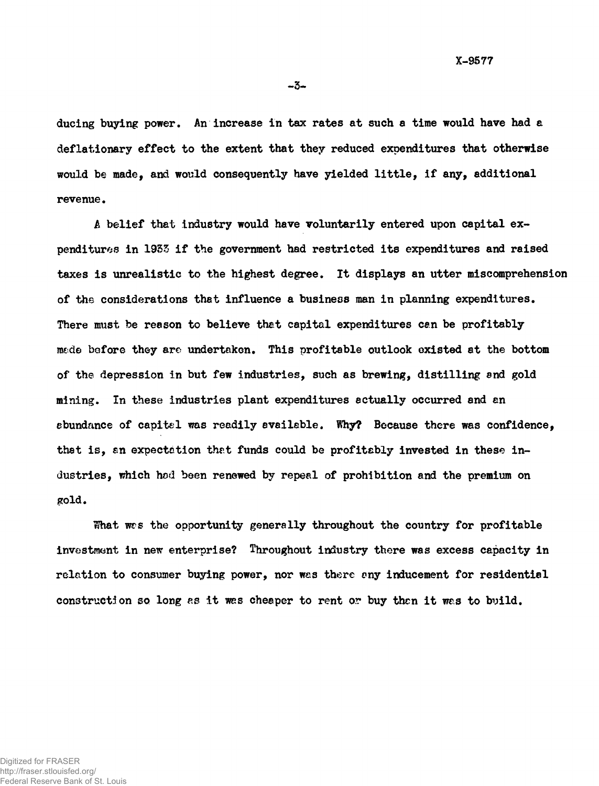**X-9577**

**-3-**

**ducing buying power. An increase in tax rates at such a time would have had a deflationary effect to the extent that they reduced expenditures that otherwise would be made, and would consequently have yielded little, if any, additional revenue.**

**A belief that industry would have voluntarily entered upon capital expenditures in 1953 if the government had restricted its expenditures and raised taxes is unrealistic to the highest degree. It displays an utter miscomprehension of the considerations that influence a business man in planning expenditures. There must be reason to believe that capital expenditures can be profitably m«de before they are undertaken. This profitable outlook existed at the bottom of the depression in but few industries, such as brewing, distilling snd gold mining. In these industries plant expenditures actually occurred and an abundance of capital was readily available. Why? Because there was confidence, that is, an expectation that funds could be profitably invested in these industries, which hod been renewed by repeal of prohibition and the premium on gold.**

**What wrs the opportunity generally throughout the country for profitable investment in new enterprise? Throughout industry there was excess capacity in relation to consumer buying power, nor was there any inducement for residential construction so long as it was cheaper to rent or buy then it was to build.**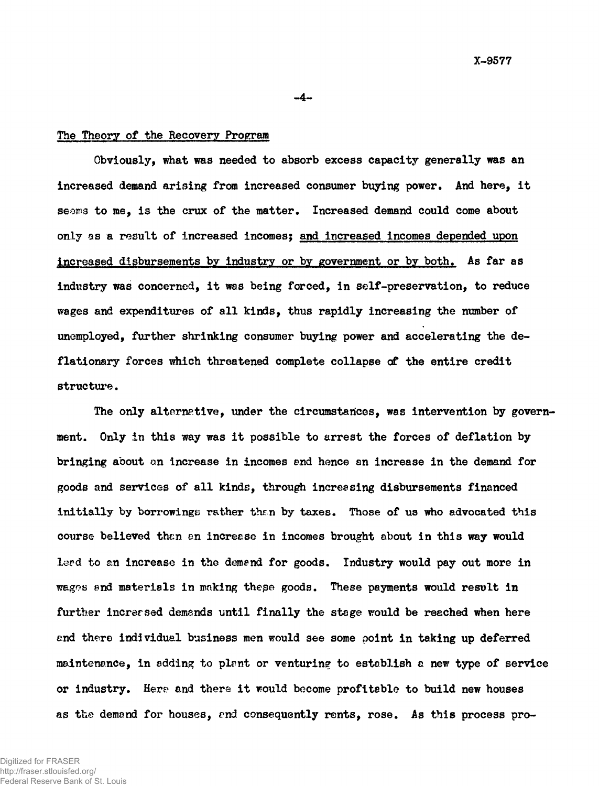# **The Theory of the Recovery Program**

**Obviously, what was needed to absorb excess capacity generally was an increased demand arising from increased consumer buying power. And here, it seoms to me, is the crux of the matter. Increased demand could come about only as a result of increased incomes; and increased incomes depended upon increased disbursements by industry or by government or by both. As far as industry was concerned, it was being forced, in self-preservation, to reduce wages and expenditures of all kinds, thus rapidly increasing the number of unemployed, further shrinking consumer buying power and accelerating the deflationary forces which threatened complete collapse of the entire credit structure.**

**-4-**

The only alternative, under the circumstances, was intervention by govern**ment. Only in this way was it possible to arrest the forces of deflation by bringing about on increase in incomes end hence an increase in the demand for goods and services of all kinds, through increasing disbursements financed initially by borrowings rather then by taxes. Those of us who advocated this course believed then en increase in incomes brought about in this way would lerd to an increase in the demend for goods. Industry would pay out more in wages end materials in making thepe goods. These payments would result in further incrersed demands until finally the stage would be reached when here end there individual business men would see some point in taking up deferred maintenance, in adding to plmt or venturing to establish a new type of service or industry. Here and there it would become profitable to build new houses as the demand for houses, end consequently rents, rose. As this process pro**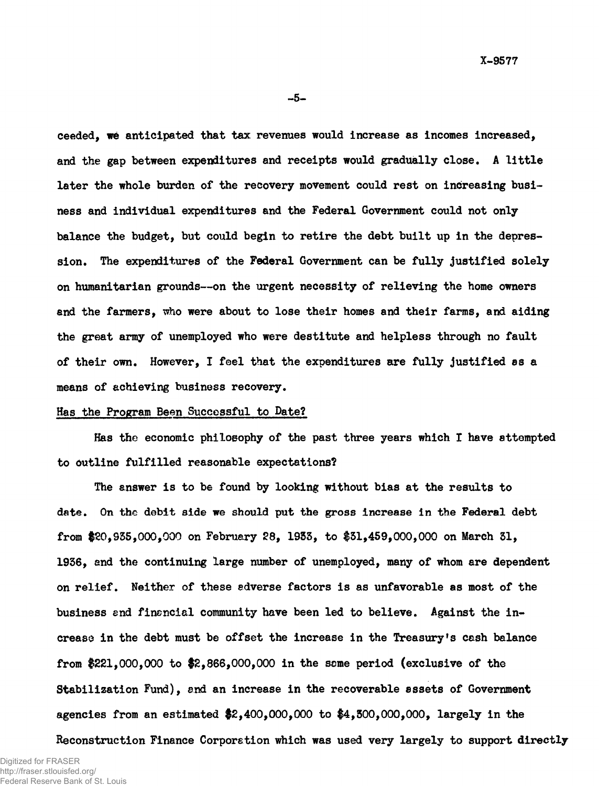**-5-**

**ceeded, we anticipated that tax revenues would increase as incomes increased, and the gap between expenditures and receipts would gradually close. A little later the whole burden of the recovery movement could rest on increasing business and individual expenditures and the Federal Government could not only balance the budget, but could begin to retire the debt built up in the depression. The expenditures of the Federal Government can be fully justified solely on humanitarian grounds— on the urgent necessity of relieving the home owners and the farmers, who were about to lose their homes and their farms, and aiding the great army of unemployed who were destitute and helpless through no fault of their own. However, I feel that the expenditures are fully justified as a means of achieving business recovery.**

#### **Has the Program Been Successful to Date?**

**Has the economic philosophy of the past three years which I have attempted to outline fulfilled reasonable expectations?**

**The answer is to be found by looking without bias at the results to date. On the debit side we should put the gross increase in the Federal debt from \$20,935,000,000 on February 28, 1935, to \$51,459,000,000 on March 51, 1956, and the continuing large number of unemployed, many of whom are dependent on relief. Neither of these adverse factors is as unfavorable as most of the business end financial community have been led to believe. Against the increase in the debt must be offset the increase in the Treasury's cash balance from \$2 2 1,000,000 to \$2,866,000,000 in the some period (exclusive of the Stabilization Fund), and an increase in the recoverable assets of Government agencies from an estimated \$2,400,000,000 to \$4,300,000,000, largely in the**

**Reconstruction Finance Corporation which was used very largely to support directly**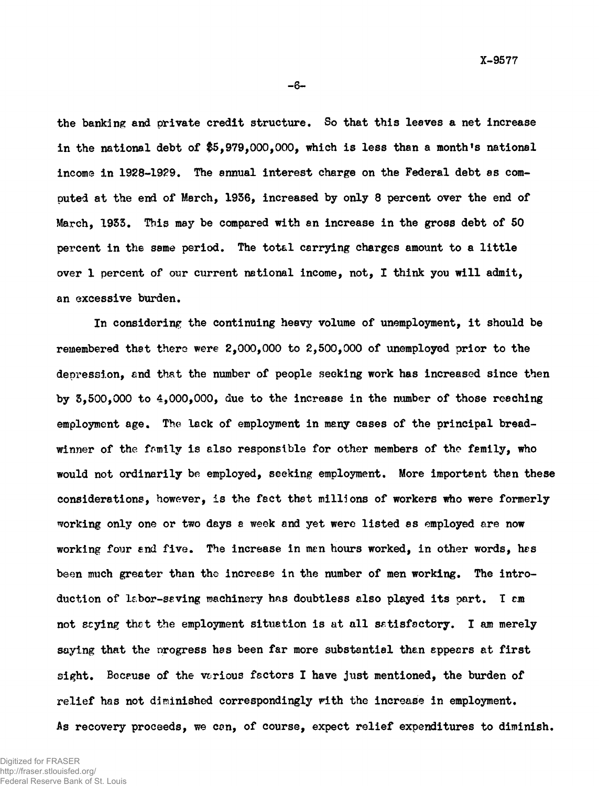**the banking and private credit structure. So that this leaves a net increase in the national debt of \$5,979,000,000, which is less than a month's national income in 1928-1929. The annual interest charge on the Federal debt as computed at the end of March, 19S6, increased by only 8 percent over the end of March, 1933. This may be compared with an increase in the gross debt of 50 percent in the same period. The total carrying charges amount to a little over 1 percent of our current national income, not, I think you will admit, an excessive burden.**

**In considering the continuing heavy volume of unemployment, it should be remembered that there were 2,000,000 to 2,500,000 of unemployed prior to the depression, and that the number of people seeking work has increased since then by 3,500,000 to 4,000,000, due to the increase in the number of those reaching employment age. The lack of employment in many cases of the principal bread**winner of the family is also responsible for other members of the femily, who **would not ordinarily be employed, seeking employment. More important th8n these considerations, however, is the fact thst millions of workers who were formerly working only one or two days a week and yet were listed as employed are now working four and five. The increase in men hows worked, in other words, has been much greater than the increese in the number of men working. The introduction of labor-saving machinery has doubtless also played its part. T cm not scying that the employment situation is at all satisfactory. I am merely saying that the nrogress has been far more substantial than appears at first sight. Because of the vcrious factors I have just mentioned, the burden of relief has not diminished correspondingly with the increase in employment. As recovery proceeds, we can, of course, expect relief expenditures to diminish.**

**- 6 -**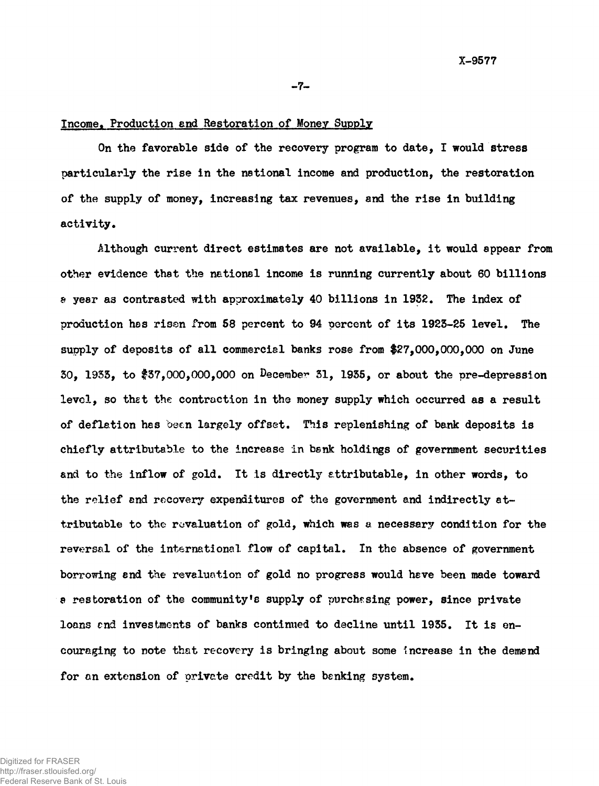#### **-7-**

#### **Income. Production end Restoration of Money Supply**

**On the favorable side of the recovery program to date, I would stress particularly the rise in the national income and production, the restoration of the supply of money, increasing tax revenues, and the rise in building activity.**

**Although current direct estimates are not available, it would appear from other evidence that the national income is running currently about 60 billions a year as contrasted with approximately 40 billions in 1932. The index of production has risen from 58 percent to 94 percent of its 1923-25 level. The supply of deposits of all commercial banks rose from \$27,000,000,000 on June 30, 1933, to \$37,000,000,000 on December 31, 1935, or about the pre-depression level, so thet the contraction in the money supply which occurred as a result of deflation has been largely offset. This replenishing of bank deposits is chiefly attributable to the increase in bank holdings of government securities and to the inflow of gold. It is directly attributable, in other words, to the relief and recovery expenditures of the government and indirectly attributable to the revaluation of gold, which was a necessary condition for the reversal of the international flow of capital. In the absence of government borrowing end the revaluation of gold no progress would have been made toward** a restoration of the community's supply of purchasing power, since private **loans end investments of banks continued to decline until 1935. It is encouraging to note that recovery is bringing about some increase in the demand for an extension of private credit by the benking system.**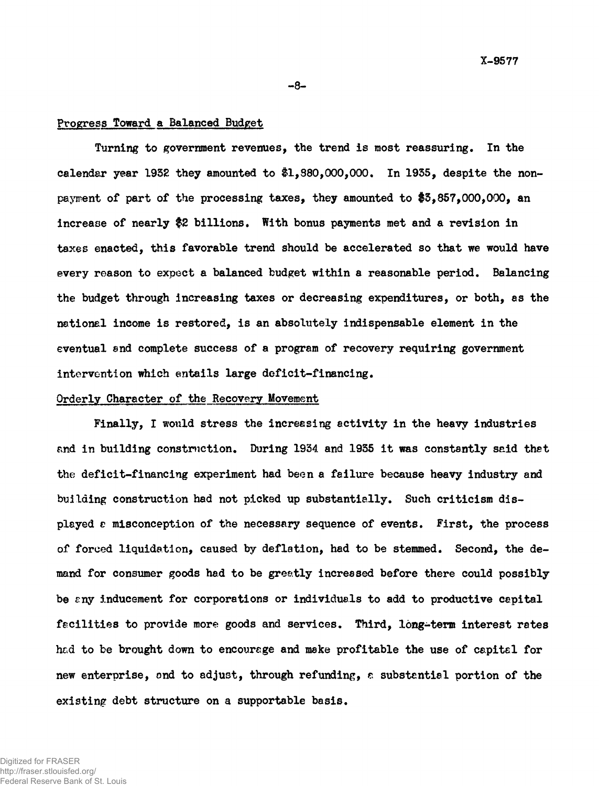#### **Progress Toward a Balanced Budget**

**Turning to government revenues, the trend is most reassuring. In the calendar year 1932 they amounted to #1,380,000,000. In 1935, despite the nonpayment of part of the processing taxes, they amounted to \$3,857,000,000, an increase of nearly \$2 billions. With bonus payments met and a revision in taxes enacted, this favorable trend should be accelerated so that we would have every reason to expect a balanced budget within a reasonable period. Balancing the budget through increasing taxes or decreasing expenditures, or both, as the national income is restored, is an absolutely indispensable element in the eventual end complete success of a program of recovery requiring government intervention which entails large deficit-financing.**

**- 8 -**

# **Orderly Character of the Recovery Movement**

**Finally, I would stress the increasing activity in the heavy industries** and in building construction. During 1934 and 1935 it was constantly said that **the deficit-financing experiment had been a failure because heavy industry and building construction had not picked up substantially. Such criticism displayed e misconception of the necessary sequence of events. First, the process of forced liquidation, caused by deflation, had to be stemmed. Second, the demand for consumer goods had to be greatly increased before there could possibly be cny inducement for corporations or individuals to add to productive capital facilities to provide more goods and services. Third, long-term interest rates hcd to be brought down to encourage and make profitable the use of capital for new enterprise, ond to adjust, through refunding, e substantial portion of the existing debt structure on a supportable basis.**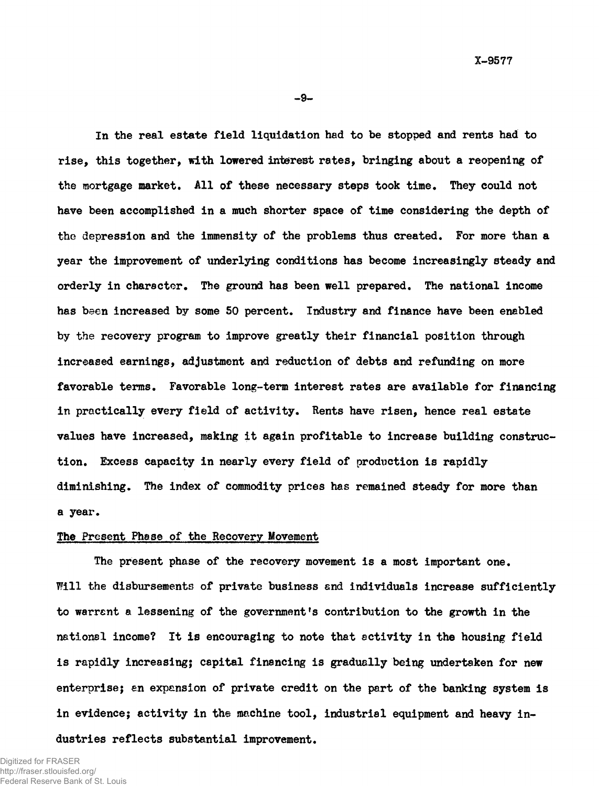**-9-**

**In the real estate field liquidation had to be stopped and rents had to rise, this together, with lowered interest rates, bringing about a reopening of the mortgage market. All of these necessary steps took time. They could not have been accomplished in a much shorter space of time considering the depth of the depression and the immensity of the problems thus created. For more than a year the improvement of underlying conditions has become increasingly steady and orderly in charscter. The ground has been well prepared. The national income has been increased by some SO percent. Industry and finance have been enabled by the recovery program to improve greatly their financial position through increased earnings, adjustment and reduction of debts and refunding on more favorable terms. Favorable long-term interest rates are available for financing in practically every field of activity. Rents have risen, hence real estate values have increased, making it again profitable to increase building construction. Excess capacity in nearly every field of production is rapidly diminishing. The index of commodity prices has remained steady for more than a year.**

# **The Present Phase of the Recovery Movement**

**The present phase of the recovery movement is a most important one. Will the disbursements of private business end individuals increase sufficiently to warrant a lessening of the government's contribution to the growth in the nations! income? It is encouraging to note that activity in the housing field is rapidly increasing; capital financing is gradually being undertaken for new enterprise; an expansion of private credit on the part of the banking system is in evidence; activity in the machine tool, industrial equipment and heavy industries reflects substantial improvement.**